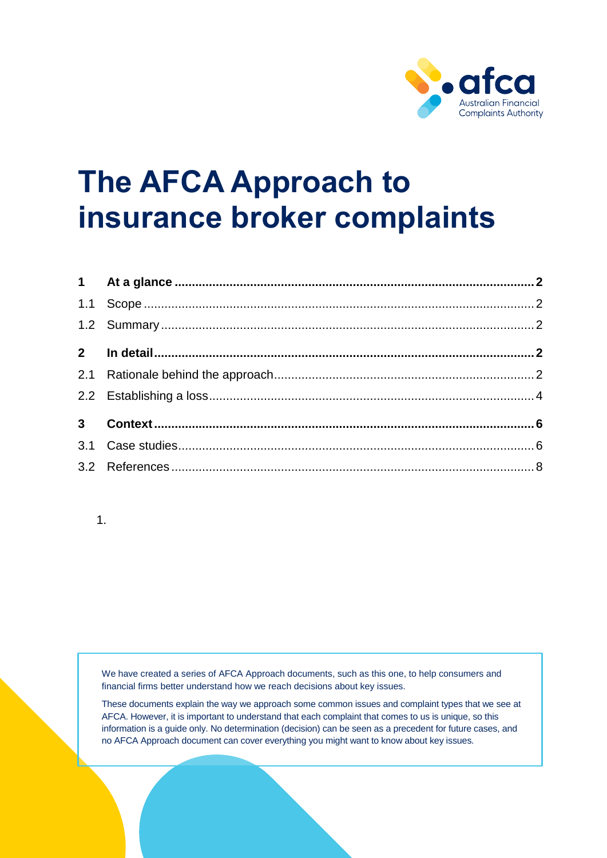

# **The AFCA Approach to insurance broker complaints**

# 1.

We have created a series of AFCA Approach documents, such as this one, to help consumers and financial firms better understand how we reach decisions about key issues.

These documents explain the way we approach some common issues and complaint types that we see at AFCA. However, it is important to understand that each complaint that comes to us is unique, so this information is a guide only. No determination (decision) can be seen as a precedent for future cases, and no AFCA Approach document can cover everything you might want to know about key issues.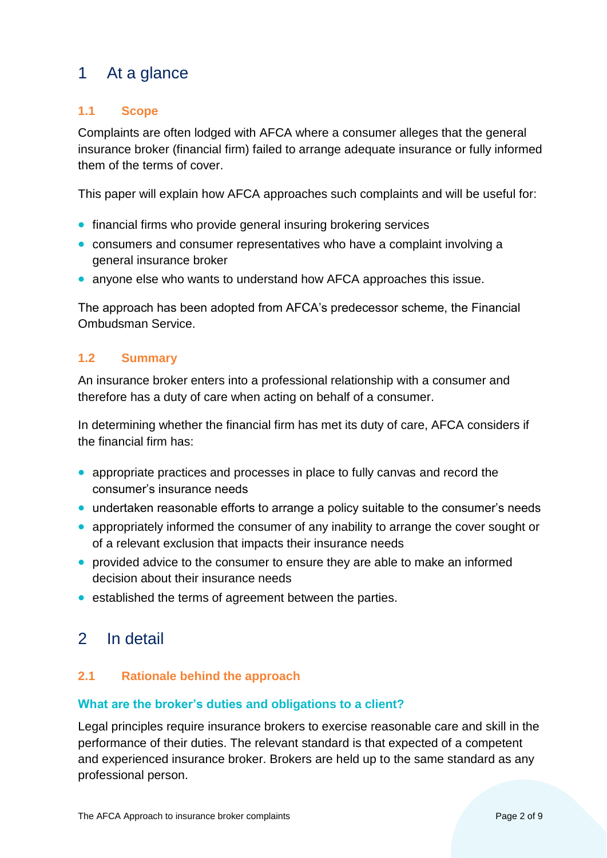# <span id="page-1-0"></span>1 At a glance

# <span id="page-1-1"></span>**1.1 Scope**

Complaints are often lodged with AFCA where a consumer alleges that the general insurance broker (financial firm) failed to arrange adequate insurance or fully informed them of the terms of cover.

This paper will explain how AFCA approaches such complaints and will be useful for:

- financial firms who provide general insuring brokering services
- consumers and consumer representatives who have a complaint involving a general insurance broker
- anyone else who wants to understand how AFCA approaches this issue.

The approach has been adopted from AFCA's predecessor scheme, the Financial Ombudsman Service.

# <span id="page-1-2"></span>**1.2 Summary**

An insurance broker enters into a professional relationship with a consumer and therefore has a duty of care when acting on behalf of a consumer.

In determining whether the financial firm has met its duty of care, AFCA considers if the financial firm has:

- appropriate practices and processes in place to fully canvas and record the consumer's insurance needs
- undertaken reasonable efforts to arrange a policy suitable to the consumer's needs
- appropriately informed the consumer of any inability to arrange the cover sought or of a relevant exclusion that impacts their insurance needs
- provided advice to the consumer to ensure they are able to make an informed decision about their insurance needs
- established the terms of agreement between the parties.

# <span id="page-1-3"></span>2 In detail

# <span id="page-1-4"></span>**2.1 Rationale behind the approach**

#### **What are the broker's duties and obligations to a client?**

Legal principles require insurance brokers to exercise reasonable care and skill in the performance of their duties. The relevant standard is that expected of a competent and experienced insurance broker. Brokers are held up to the same standard as any professional person.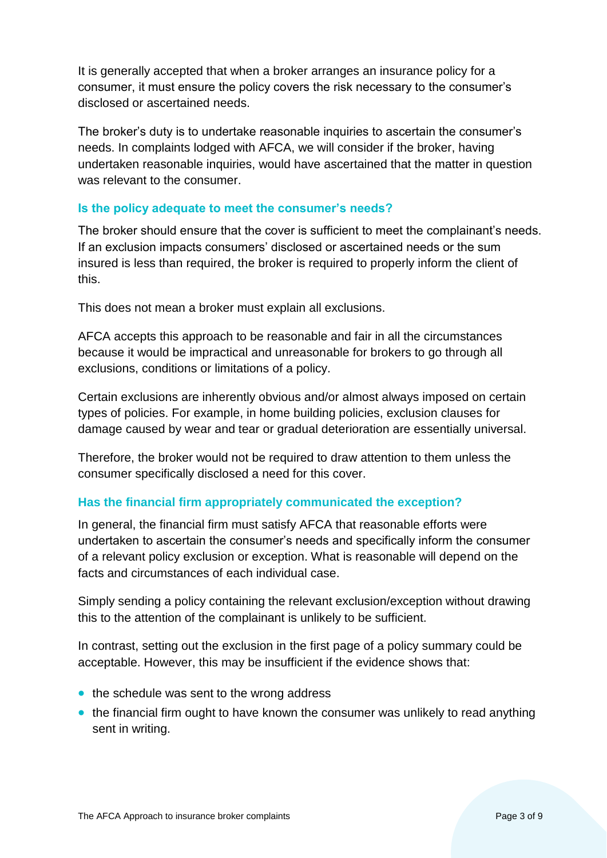It is generally accepted that when a broker arranges an insurance policy for a consumer, it must ensure the policy covers the risk necessary to the consumer's disclosed or ascertained needs.

The broker's duty is to undertake reasonable inquiries to ascertain the consumer's needs. In complaints lodged with AFCA, we will consider if the broker, having undertaken reasonable inquiries, would have ascertained that the matter in question was relevant to the consumer.

# **Is the policy adequate to meet the consumer's needs?**

The broker should ensure that the cover is sufficient to meet the complainant's needs. If an exclusion impacts consumers' disclosed or ascertained needs or the sum insured is less than required, the broker is required to properly inform the client of this.

This does not mean a broker must explain all exclusions.

AFCA accepts this approach to be reasonable and fair in all the circumstances because it would be impractical and unreasonable for brokers to go through all exclusions, conditions or limitations of a policy.

Certain exclusions are inherently obvious and/or almost always imposed on certain types of policies. For example, in home building policies, exclusion clauses for damage caused by wear and tear or gradual deterioration are essentially universal.

Therefore, the broker would not be required to draw attention to them unless the consumer specifically disclosed a need for this cover.

#### **Has the financial firm appropriately communicated the exception?**

In general, the financial firm must satisfy AFCA that reasonable efforts were undertaken to ascertain the consumer's needs and specifically inform the consumer of a relevant policy exclusion or exception. What is reasonable will depend on the facts and circumstances of each individual case.

Simply sending a policy containing the relevant exclusion/exception without drawing this to the attention of the complainant is unlikely to be sufficient.

In contrast, setting out the exclusion in the first page of a policy summary could be acceptable. However, this may be insufficient if the evidence shows that:

- the schedule was sent to the wrong address
- the financial firm ought to have known the consumer was unlikely to read anything sent in writing.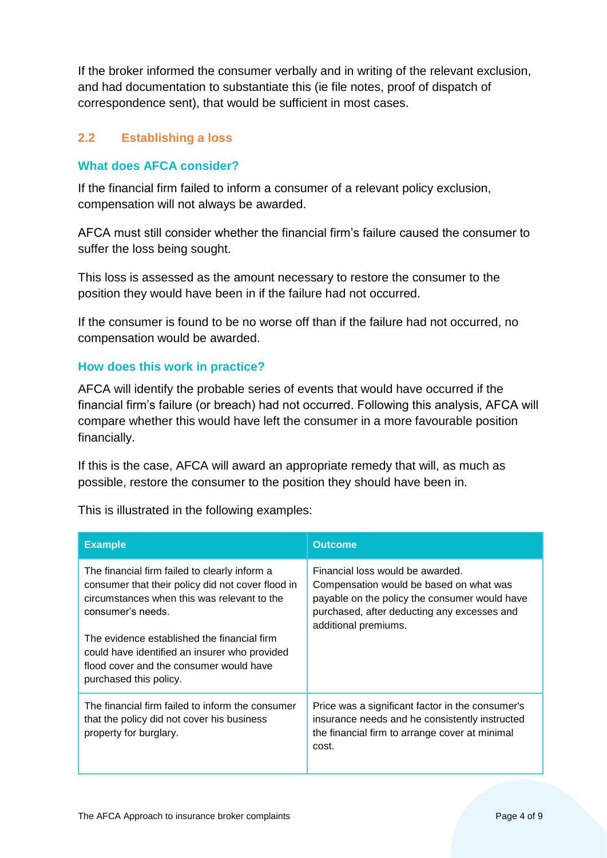If the broker informed the consumer verbally and in writing of the relevant exclusion, and had documentation to substantiate this (ie file notes, proof of dispatch of correspondence sent), that would be sufficient in most cases.

# <span id="page-3-0"></span>**2.2 Establishing a loss**

## **What does AFCA consider?**

If the financial firm failed to inform a consumer of a relevant policy exclusion, compensation will not always be awarded.

AFCA must still consider whether the financial firm's failure caused the consumer to suffer the loss being sought.

This loss is assessed as the amount necessary to restore the consumer to the position they would have been in if the failure had not occurred.

If the consumer is found to be no worse off than if the failure had not occurred, no compensation would be awarded.

#### **How does this work in practice?**

AFCA will identify the probable series of events that would have occurred if the financial firm's failure (or breach) had not occurred. Following this analysis, AFCA will compare whether this would have left the consumer in a more favourable position financially.

If this is the case, AFCA will award an appropriate remedy that will, as much as possible, restore the consumer to the position they should have been in.

This is illustrated in the following examples:

| <b>Example</b>                                                                                                                                                                                                        | <b>Outcome</b>                                                                                                                                                                                      |
|-----------------------------------------------------------------------------------------------------------------------------------------------------------------------------------------------------------------------|-----------------------------------------------------------------------------------------------------------------------------------------------------------------------------------------------------|
| The financial firm failed to clearly inform a<br>consumer that their policy did not cover flood in<br>circumstances when this was relevant to the<br>consumer's needs.<br>The evidence established the financial firm | Financial loss would be awarded.<br>Compensation would be based on what was<br>payable on the policy the consumer would have<br>purchased, after deducting any excesses and<br>additional premiums. |
| could have identified an insurer who provided<br>flood cover and the consumer would have<br>purchased this policy.                                                                                                    |                                                                                                                                                                                                     |
| The financial firm failed to inform the consumer<br>that the policy did not cover his business<br>property for burglary.                                                                                              | Price was a significant factor in the consumer's<br>insurance needs and he consistently instructed<br>the financial firm to arrange cover at minimal<br>cost.                                       |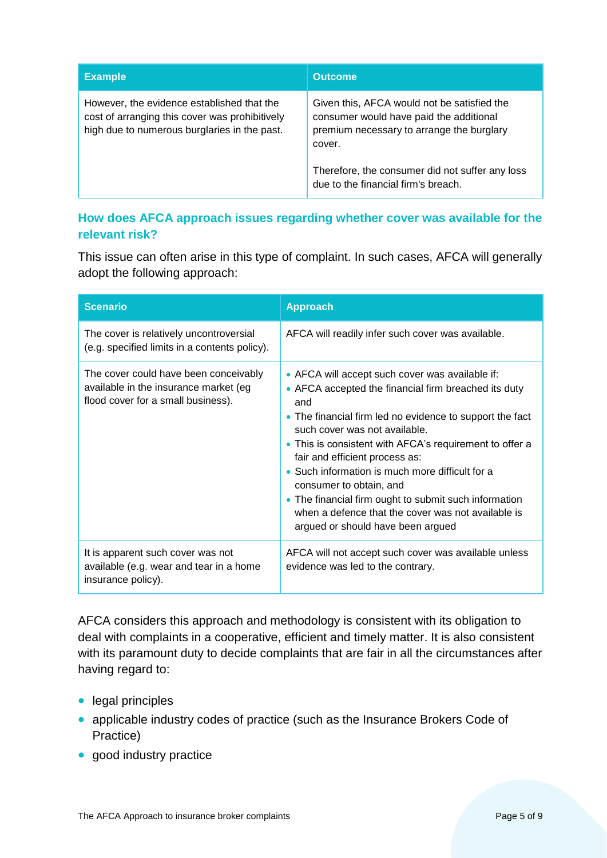| <b>Example</b>                                                                                                                               | <b>Outcome</b>                                                                                                                                                                                                                          |
|----------------------------------------------------------------------------------------------------------------------------------------------|-----------------------------------------------------------------------------------------------------------------------------------------------------------------------------------------------------------------------------------------|
| However, the evidence established that the<br>cost of arranging this cover was prohibitively<br>high due to numerous burglaries in the past. | Given this, AFCA would not be satisfied the<br>consumer would have paid the additional<br>premium necessary to arrange the burglary<br>cover.<br>Therefore, the consumer did not suffer any loss<br>due to the financial firm's breach. |

# **How does AFCA approach issues regarding whether cover was available for the relevant risk?**

This issue can often arise in this type of complaint. In such cases, AFCA will generally adopt the following approach:

| <b>Scenario</b>                                                                                                      | <b>Approach</b>                                                                                                                                                                                                                                                                                                                                                                                                                                                                                                                            |
|----------------------------------------------------------------------------------------------------------------------|--------------------------------------------------------------------------------------------------------------------------------------------------------------------------------------------------------------------------------------------------------------------------------------------------------------------------------------------------------------------------------------------------------------------------------------------------------------------------------------------------------------------------------------------|
| The cover is relatively uncontroversial<br>(e.g. specified limits in a contents policy).                             | AFCA will readily infer such cover was available.                                                                                                                                                                                                                                                                                                                                                                                                                                                                                          |
| The cover could have been conceivably<br>available in the insurance market (eg<br>flood cover for a small business). | • AFCA will accept such cover was available if:<br>• AFCA accepted the financial firm breached its duty<br>and<br>• The financial firm led no evidence to support the fact<br>such cover was not available.<br>• This is consistent with AFCA's requirement to offer a<br>fair and efficient process as:<br>• Such information is much more difficult for a<br>consumer to obtain, and<br>• The financial firm ought to submit such information<br>when a defence that the cover was not available is<br>argued or should have been argued |
| It is apparent such cover was not<br>available (e.g. wear and tear in a home<br>insurance policy).                   | AFCA will not accept such cover was available unless<br>evidence was led to the contrary.                                                                                                                                                                                                                                                                                                                                                                                                                                                  |

AFCA considers this approach and methodology is consistent with its obligation to deal with complaints in a cooperative, efficient and timely matter. It is also consistent with its paramount duty to decide complaints that are fair in all the circumstances after having regard to:

- legal principles
- applicable industry codes of practice (such as the Insurance Brokers Code of Practice)
- good industry practice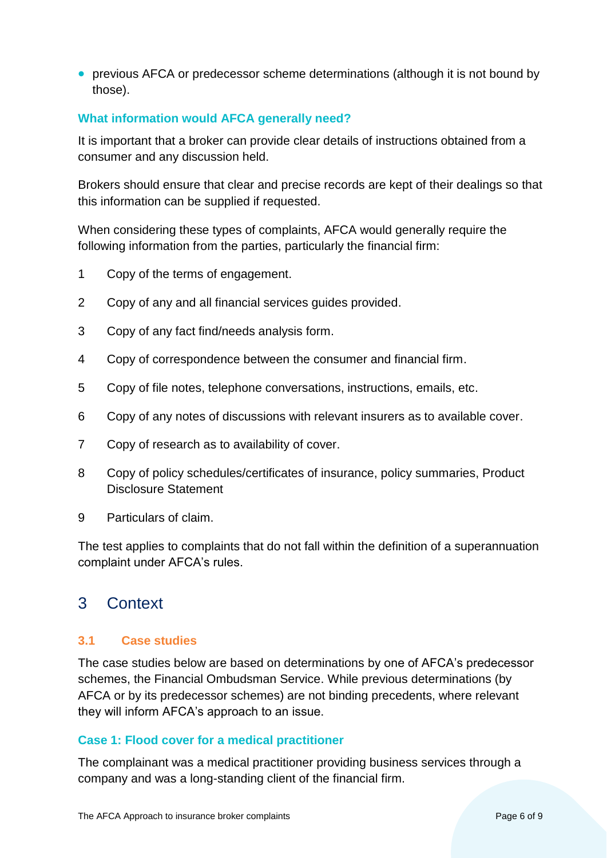• previous AFCA or predecessor scheme determinations (although it is not bound by those).

## **What information would AFCA generally need?**

It is important that a broker can provide clear details of instructions obtained from a consumer and any discussion held.

Brokers should ensure that clear and precise records are kept of their dealings so that this information can be supplied if requested.

When considering these types of complaints, AFCA would generally require the following information from the parties, particularly the financial firm:

- 1 Copy of the terms of engagement.
- 2 Copy of any and all financial services guides provided.
- 3 Copy of any fact find/needs analysis form.
- 4 Copy of correspondence between the consumer and financial firm.
- 5 Copy of file notes, telephone conversations, instructions, emails, etc.
- 6 Copy of any notes of discussions with relevant insurers as to available cover.
- 7 Copy of research as to availability of cover.
- 8 Copy of policy schedules/certificates of insurance, policy summaries, Product Disclosure Statement
- 9 Particulars of claim.

The test applies to complaints that do not fall within the definition of a superannuation complaint under AFCA's rules.

# <span id="page-5-0"></span>3 Context

# <span id="page-5-1"></span>**3.1 Case studies**

The case studies below are based on determinations by one of AFCA's predecessor schemes, the Financial Ombudsman Service. While previous determinations (by AFCA or by its predecessor schemes) are not binding precedents, where relevant they will inform AFCA's approach to an issue.

#### **Case 1: Flood cover for a medical practitioner**

The complainant was a medical practitioner providing business services through a company and was a long-standing client of the financial firm.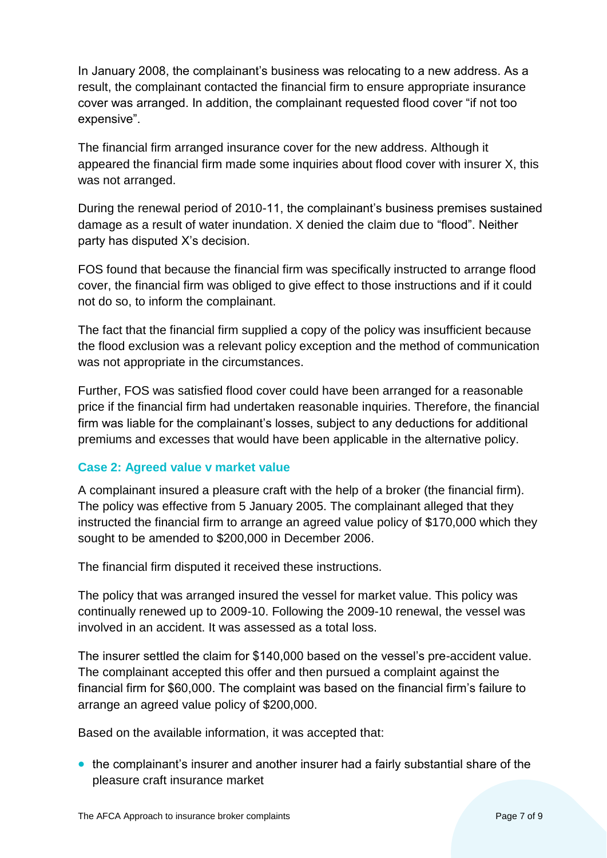In January 2008, the complainant's business was relocating to a new address. As a result, the complainant contacted the financial firm to ensure appropriate insurance cover was arranged. In addition, the complainant requested flood cover "if not too expensive".

The financial firm arranged insurance cover for the new address. Although it appeared the financial firm made some inquiries about flood cover with insurer X, this was not arranged.

During the renewal period of 2010-11, the complainant's business premises sustained damage as a result of water inundation. X denied the claim due to "flood". Neither party has disputed X's decision.

FOS found that because the financial firm was specifically instructed to arrange flood cover, the financial firm was obliged to give effect to those instructions and if it could not do so, to inform the complainant.

The fact that the financial firm supplied a copy of the policy was insufficient because the flood exclusion was a relevant policy exception and the method of communication was not appropriate in the circumstances.

Further, FOS was satisfied flood cover could have been arranged for a reasonable price if the financial firm had undertaken reasonable inquiries. Therefore, the financial firm was liable for the complainant's losses, subject to any deductions for additional premiums and excesses that would have been applicable in the alternative policy.

# **Case 2: Agreed value v market value**

A complainant insured a pleasure craft with the help of a broker (the financial firm). The policy was effective from 5 January 2005. The complainant alleged that they instructed the financial firm to arrange an agreed value policy of \$170,000 which they sought to be amended to \$200,000 in December 2006.

The financial firm disputed it received these instructions.

The policy that was arranged insured the vessel for market value. This policy was continually renewed up to 2009-10. Following the 2009-10 renewal, the vessel was involved in an accident. It was assessed as a total loss.

The insurer settled the claim for \$140,000 based on the vessel's pre-accident value. The complainant accepted this offer and then pursued a complaint against the financial firm for \$60,000. The complaint was based on the financial firm's failure to arrange an agreed value policy of \$200,000.

Based on the available information, it was accepted that:

• the complainant's insurer and another insurer had a fairly substantial share of the pleasure craft insurance market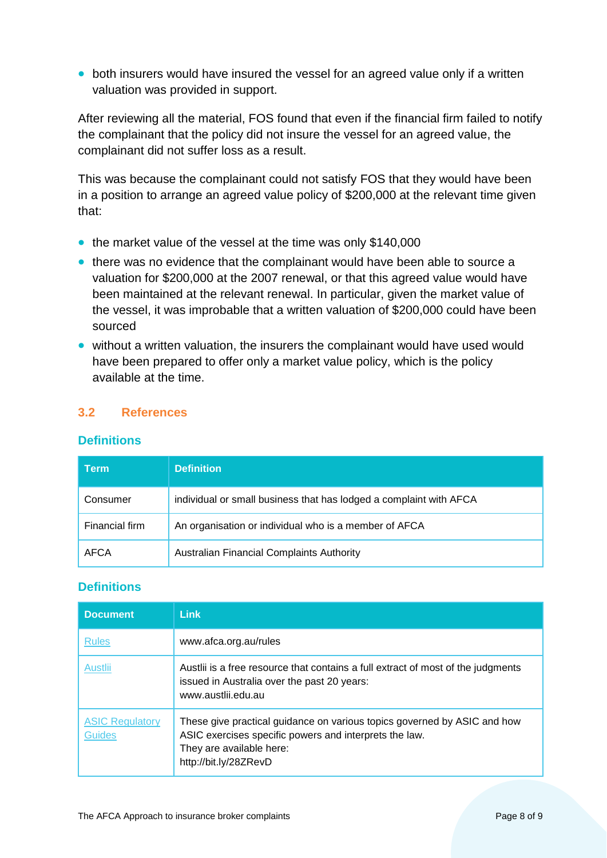• both insurers would have insured the vessel for an agreed value only if a written valuation was provided in support.

After reviewing all the material, FOS found that even if the financial firm failed to notify the complainant that the policy did not insure the vessel for an agreed value, the complainant did not suffer loss as a result.

This was because the complainant could not satisfy FOS that they would have been in a position to arrange an agreed value policy of \$200,000 at the relevant time given that:

- the market value of the vessel at the time was only \$140,000
- there was no evidence that the complainant would have been able to source a valuation for \$200,000 at the 2007 renewal, or that this agreed value would have been maintained at the relevant renewal. In particular, given the market value of the vessel, it was improbable that a written valuation of \$200,000 could have been sourced
- without a written valuation, the insurers the complainant would have used would have been prepared to offer only a market value policy, which is the policy available at the time.

# <span id="page-7-0"></span>**3.2 References**

#### **Definitions**

| Term           | <b>Definition</b>                                                  |
|----------------|--------------------------------------------------------------------|
| Consumer       | individual or small business that has lodged a complaint with AFCA |
| Financial firm | An organisation or individual who is a member of AFCA              |
| <b>AFCA</b>    | Australian Financial Complaints Authority                          |

# **Definitions**

| <b>Document</b>                         | Link                                                                                                                                                                                    |
|-----------------------------------------|-----------------------------------------------------------------------------------------------------------------------------------------------------------------------------------------|
| <b>Rules</b>                            | www.afca.org.au/rules                                                                                                                                                                   |
| Austlii                                 | Austlii is a free resource that contains a full extract of most of the judgments<br>issued in Australia over the past 20 years:<br>www.austlii.edu.au                                   |
| <b>ASIC Regulatory</b><br><b>Guides</b> | These give practical guidance on various topics governed by ASIC and how<br>ASIC exercises specific powers and interprets the law.<br>They are available here:<br>http://bit.ly/28ZRevD |